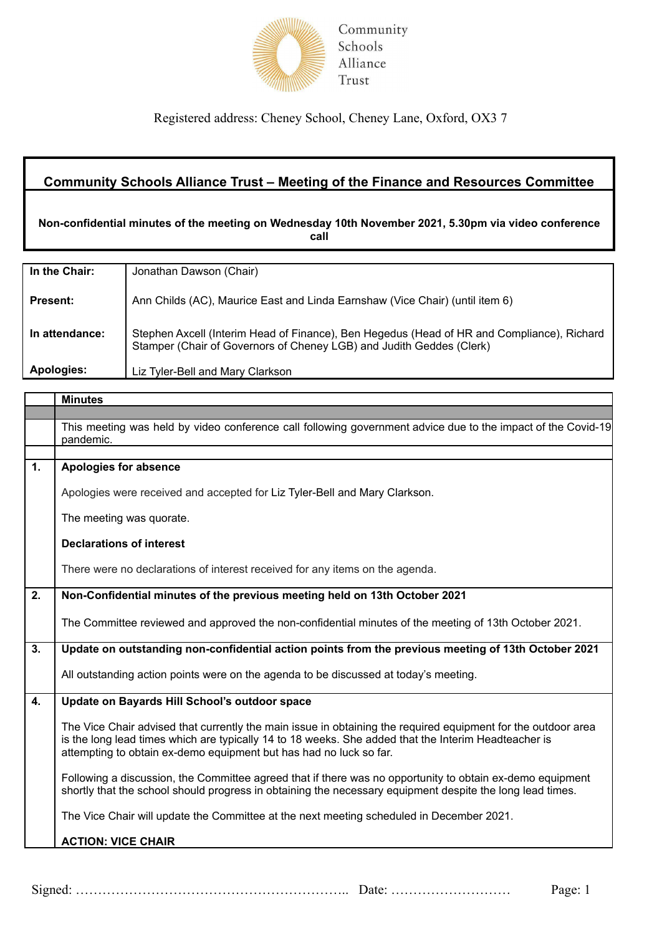

Registered address: Cheney School, Cheney Lane, Oxford, OX3 7

## **Community Schools Alliance Trust – Meeting of the Finance and Resources Committee**

**Non-confidential minutes of the meeting on Wednesday 10th November 2021, 5.30pm via video conference call**

| In the Chair:   | Jonathan Dawson (Chair)                                                                                                                                            |
|-----------------|--------------------------------------------------------------------------------------------------------------------------------------------------------------------|
| <b>Present:</b> | Ann Childs (AC), Maurice East and Linda Earnshaw (Vice Chair) (until item 6)                                                                                       |
| In attendance:  | Stephen Axcell (Interim Head of Finance), Ben Hegedus (Head of HR and Compliance), Richard<br>Stamper (Chair of Governors of Cheney LGB) and Judith Geddes (Clerk) |
| Apologies:      | Liz Tyler-Bell and Mary Clarkson                                                                                                                                   |

|    | <b>Minutes</b>                                                                                                                                                                                                                                                                              |
|----|---------------------------------------------------------------------------------------------------------------------------------------------------------------------------------------------------------------------------------------------------------------------------------------------|
|    |                                                                                                                                                                                                                                                                                             |
|    | This meeting was held by video conference call following government advice due to the impact of the Covid-19<br>pandemic.                                                                                                                                                                   |
|    |                                                                                                                                                                                                                                                                                             |
| 1. | <b>Apologies for absence</b>                                                                                                                                                                                                                                                                |
|    | Apologies were received and accepted for Liz Tyler-Bell and Mary Clarkson.                                                                                                                                                                                                                  |
|    | The meeting was quorate.                                                                                                                                                                                                                                                                    |
|    | <b>Declarations of interest</b>                                                                                                                                                                                                                                                             |
|    | There were no declarations of interest received for any items on the agenda.                                                                                                                                                                                                                |
| 2. | Non-Confidential minutes of the previous meeting held on 13th October 2021                                                                                                                                                                                                                  |
|    | The Committee reviewed and approved the non-confidential minutes of the meeting of 13th October 2021.                                                                                                                                                                                       |
| 3. | Update on outstanding non-confidential action points from the previous meeting of 13th October 2021                                                                                                                                                                                         |
|    | All outstanding action points were on the agenda to be discussed at today's meeting.                                                                                                                                                                                                        |
| 4. | Update on Bayards Hill School's outdoor space                                                                                                                                                                                                                                               |
|    | The Vice Chair advised that currently the main issue in obtaining the required equipment for the outdoor area<br>is the long lead times which are typically 14 to 18 weeks. She added that the Interim Headteacher is<br>attempting to obtain ex-demo equipment but has had no luck so far. |
|    | Following a discussion, the Committee agreed that if there was no opportunity to obtain ex-demo equipment<br>shortly that the school should progress in obtaining the necessary equipment despite the long lead times.                                                                      |
|    | The Vice Chair will update the Committee at the next meeting scheduled in December 2021.                                                                                                                                                                                                    |
|    | <b>ACTION: VICE CHAIR</b>                                                                                                                                                                                                                                                                   |
|    |                                                                                                                                                                                                                                                                                             |

Signed: …………………………………………………….. Date: ……………………… Page: 1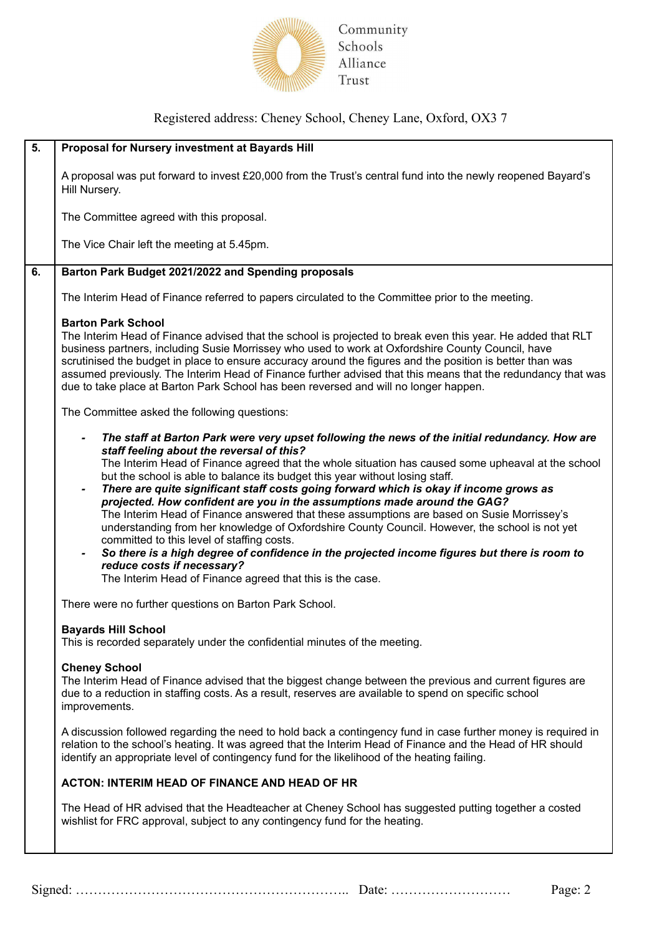

Community Schools Alliance Trust

## Registered address: Cheney School, Cheney Lane, Oxford, OX3 7

| 5. | Proposal for Nursery investment at Bayards Hill                                                                                                                                                                                                                                                                                                                                                                                                                                                                                                                                                                                                                                                                                                                                                                                                                                                                                                                              |
|----|------------------------------------------------------------------------------------------------------------------------------------------------------------------------------------------------------------------------------------------------------------------------------------------------------------------------------------------------------------------------------------------------------------------------------------------------------------------------------------------------------------------------------------------------------------------------------------------------------------------------------------------------------------------------------------------------------------------------------------------------------------------------------------------------------------------------------------------------------------------------------------------------------------------------------------------------------------------------------|
|    | A proposal was put forward to invest £20,000 from the Trust's central fund into the newly reopened Bayard's<br>Hill Nursery.                                                                                                                                                                                                                                                                                                                                                                                                                                                                                                                                                                                                                                                                                                                                                                                                                                                 |
|    | The Committee agreed with this proposal.                                                                                                                                                                                                                                                                                                                                                                                                                                                                                                                                                                                                                                                                                                                                                                                                                                                                                                                                     |
|    | The Vice Chair left the meeting at 5.45pm.                                                                                                                                                                                                                                                                                                                                                                                                                                                                                                                                                                                                                                                                                                                                                                                                                                                                                                                                   |
| 6. | Barton Park Budget 2021/2022 and Spending proposals                                                                                                                                                                                                                                                                                                                                                                                                                                                                                                                                                                                                                                                                                                                                                                                                                                                                                                                          |
|    | The Interim Head of Finance referred to papers circulated to the Committee prior to the meeting.                                                                                                                                                                                                                                                                                                                                                                                                                                                                                                                                                                                                                                                                                                                                                                                                                                                                             |
|    | <b>Barton Park School</b><br>The Interim Head of Finance advised that the school is projected to break even this year. He added that RLT<br>business partners, including Susie Morrissey who used to work at Oxfordshire County Council, have<br>scrutinised the budget in place to ensure accuracy around the figures and the position is better than was<br>assumed previously. The Interim Head of Finance further advised that this means that the redundancy that was<br>due to take place at Barton Park School has been reversed and will no longer happen.                                                                                                                                                                                                                                                                                                                                                                                                           |
|    | The Committee asked the following questions:                                                                                                                                                                                                                                                                                                                                                                                                                                                                                                                                                                                                                                                                                                                                                                                                                                                                                                                                 |
|    | The staff at Barton Park were very upset following the news of the initial redundancy. How are<br>staff feeling about the reversal of this?<br>The Interim Head of Finance agreed that the whole situation has caused some upheaval at the school<br>but the school is able to balance its budget this year without losing staff.<br>There are quite significant staff costs going forward which is okay if income grows as<br>$\overline{\phantom{0}}$<br>projected. How confident are you in the assumptions made around the GAG?<br>The Interim Head of Finance answered that these assumptions are based on Susie Morrissey's<br>understanding from her knowledge of Oxfordshire County Council. However, the school is not yet<br>committed to this level of staffing costs.<br>So there is a high degree of confidence in the projected income figures but there is room to<br>reduce costs if necessary?<br>The Interim Head of Finance agreed that this is the case. |
|    | There were no further questions on Barton Park School.                                                                                                                                                                                                                                                                                                                                                                                                                                                                                                                                                                                                                                                                                                                                                                                                                                                                                                                       |
|    | <b>Bavards Hill School</b><br>This is recorded separately under the confidential minutes of the meeting.                                                                                                                                                                                                                                                                                                                                                                                                                                                                                                                                                                                                                                                                                                                                                                                                                                                                     |
|    | <b>Cheney School</b><br>The Interim Head of Finance advised that the biggest change between the previous and current figures are<br>due to a reduction in staffing costs. As a result, reserves are available to spend on specific school<br>improvements.                                                                                                                                                                                                                                                                                                                                                                                                                                                                                                                                                                                                                                                                                                                   |
|    | A discussion followed regarding the need to hold back a contingency fund in case further money is required in<br>relation to the school's heating. It was agreed that the Interim Head of Finance and the Head of HR should<br>identify an appropriate level of contingency fund for the likelihood of the heating failing.                                                                                                                                                                                                                                                                                                                                                                                                                                                                                                                                                                                                                                                  |
|    | <b>ACTON: INTERIM HEAD OF FINANCE AND HEAD OF HR</b>                                                                                                                                                                                                                                                                                                                                                                                                                                                                                                                                                                                                                                                                                                                                                                                                                                                                                                                         |
|    | The Head of HR advised that the Headteacher at Cheney School has suggested putting together a costed<br>wishlist for FRC approval, subject to any contingency fund for the heating.                                                                                                                                                                                                                                                                                                                                                                                                                                                                                                                                                                                                                                                                                                                                                                                          |

Signed: …………………………………………………….. Date: ……………………… Page: 2